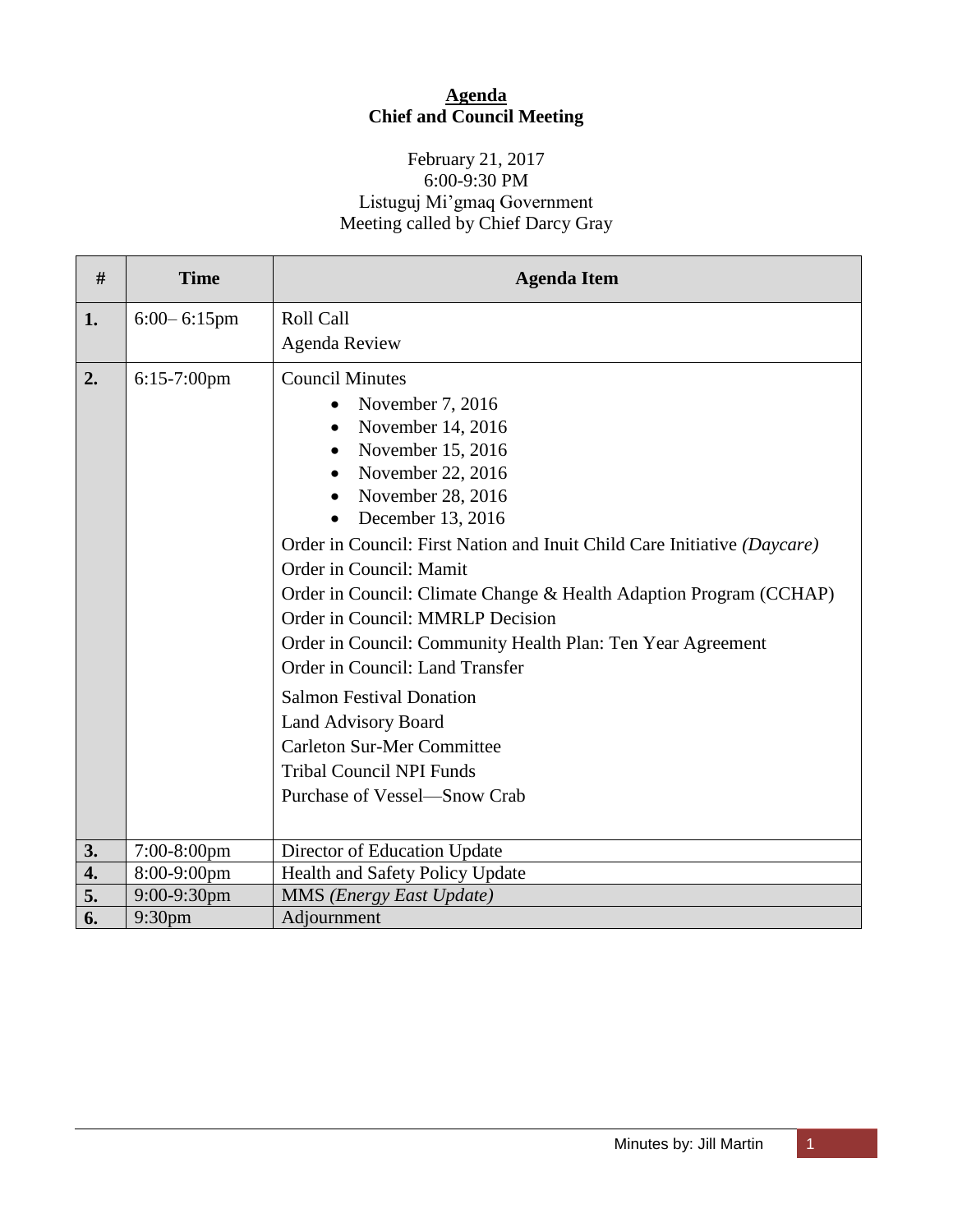## **Agenda Chief and Council Meeting**

# February 21, 2017 6:00-9:30 PM Listuguj Mi'gmaq Government Meeting called by Chief Darcy Gray

| #  | <b>Time</b>        | <b>Agenda Item</b>                                                                                                                                                                                                                                                                                                                                                                                                                                                                                                                                                                                                                              |
|----|--------------------|-------------------------------------------------------------------------------------------------------------------------------------------------------------------------------------------------------------------------------------------------------------------------------------------------------------------------------------------------------------------------------------------------------------------------------------------------------------------------------------------------------------------------------------------------------------------------------------------------------------------------------------------------|
| 1. | $6:00 - 6:15$ pm   | Roll Call                                                                                                                                                                                                                                                                                                                                                                                                                                                                                                                                                                                                                                       |
|    |                    | <b>Agenda Review</b>                                                                                                                                                                                                                                                                                                                                                                                                                                                                                                                                                                                                                            |
| 2. | $6:15-7:00$ pm     | <b>Council Minutes</b><br>November 7, 2016<br>November 14, 2016<br>November 15, 2016<br>November 22, 2016<br>November 28, 2016<br>December 13, 2016<br>Order in Council: First Nation and Inuit Child Care Initiative (Daycare)<br>Order in Council: Mamit<br>Order in Council: Climate Change & Health Adaption Program (CCHAP)<br>Order in Council: MMRLP Decision<br>Order in Council: Community Health Plan: Ten Year Agreement<br>Order in Council: Land Transfer<br><b>Salmon Festival Donation</b><br><b>Land Advisory Board</b><br><b>Carleton Sur-Mer Committee</b><br><b>Tribal Council NPI Funds</b><br>Purchase of Vessel—Snow Crab |
| 3. | $7:00-8:00$ pm     | Director of Education Update                                                                                                                                                                                                                                                                                                                                                                                                                                                                                                                                                                                                                    |
| 4. | 8:00-9:00pm        | Health and Safety Policy Update                                                                                                                                                                                                                                                                                                                                                                                                                                                                                                                                                                                                                 |
| 5. | 9:00-9:30pm        | MMS (Energy East Update)                                                                                                                                                                                                                                                                                                                                                                                                                                                                                                                                                                                                                        |
| 6. | 9:30 <sub>pm</sub> | Adjournment                                                                                                                                                                                                                                                                                                                                                                                                                                                                                                                                                                                                                                     |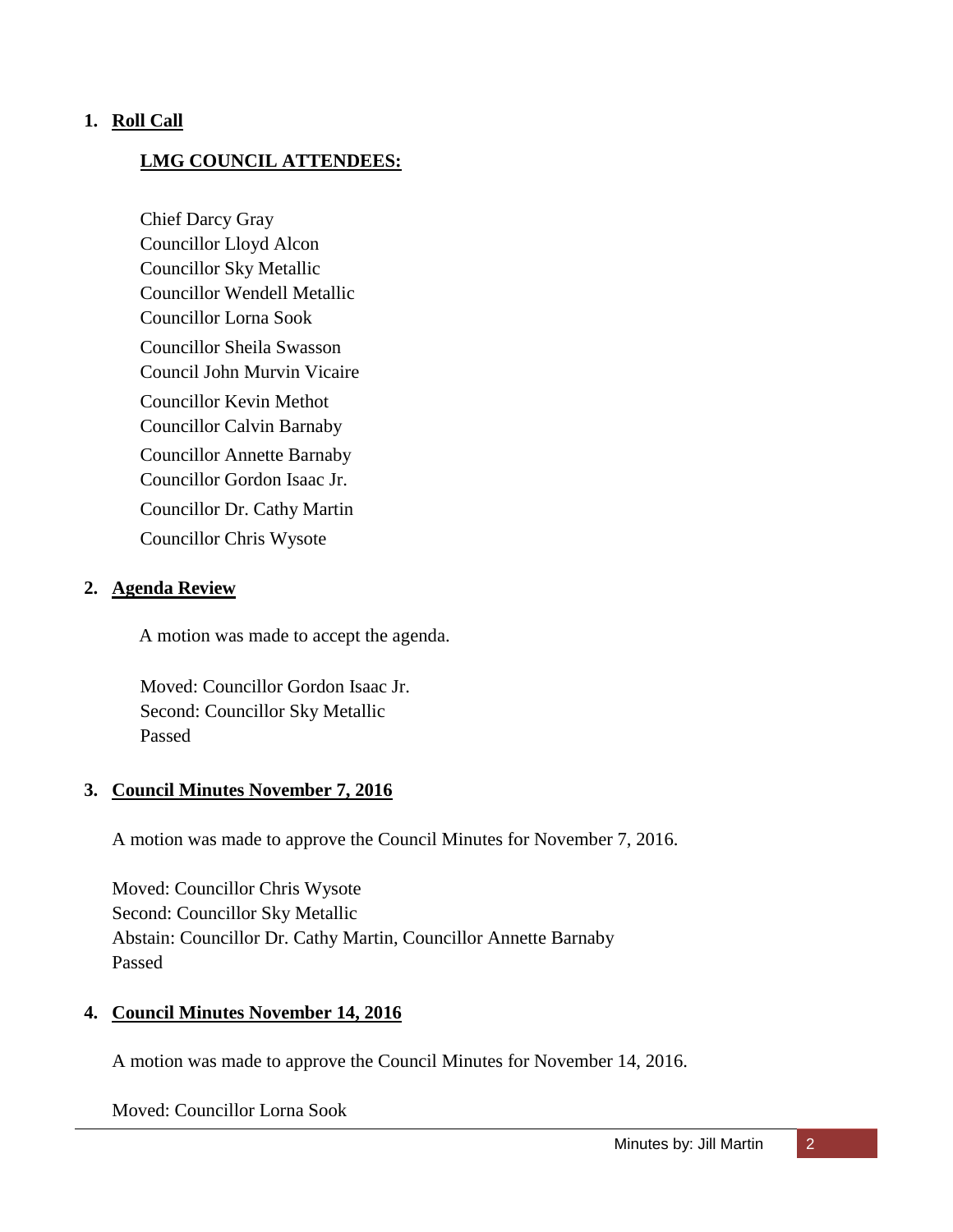#### **1. Roll Call**

#### **LMG COUNCIL ATTENDEES:**

Chief Darcy Gray Councillor Lloyd Alcon Councillor Sky Metallic Councillor Wendell Metallic Councillor Lorna Sook Councillor Sheila Swasson Council John Murvin Vicaire Councillor Kevin Methot Councillor Calvin Barnaby Councillor Annette Barnaby Councillor Gordon Isaac Jr. Councillor Dr. Cathy Martin Councillor Chris Wysote

#### **2. Agenda Review**

A motion was made to accept the agenda.

Moved: Councillor Gordon Isaac Jr. Second: Councillor Sky Metallic Passed

#### **3. Council Minutes November 7, 2016**

A motion was made to approve the Council Minutes for November 7, 2016.

Moved: Councillor Chris Wysote Second: Councillor Sky Metallic Abstain: Councillor Dr. Cathy Martin, Councillor Annette Barnaby Passed

# **4. Council Minutes November 14, 2016**

A motion was made to approve the Council Minutes for November 14, 2016.

Moved: Councillor Lorna Sook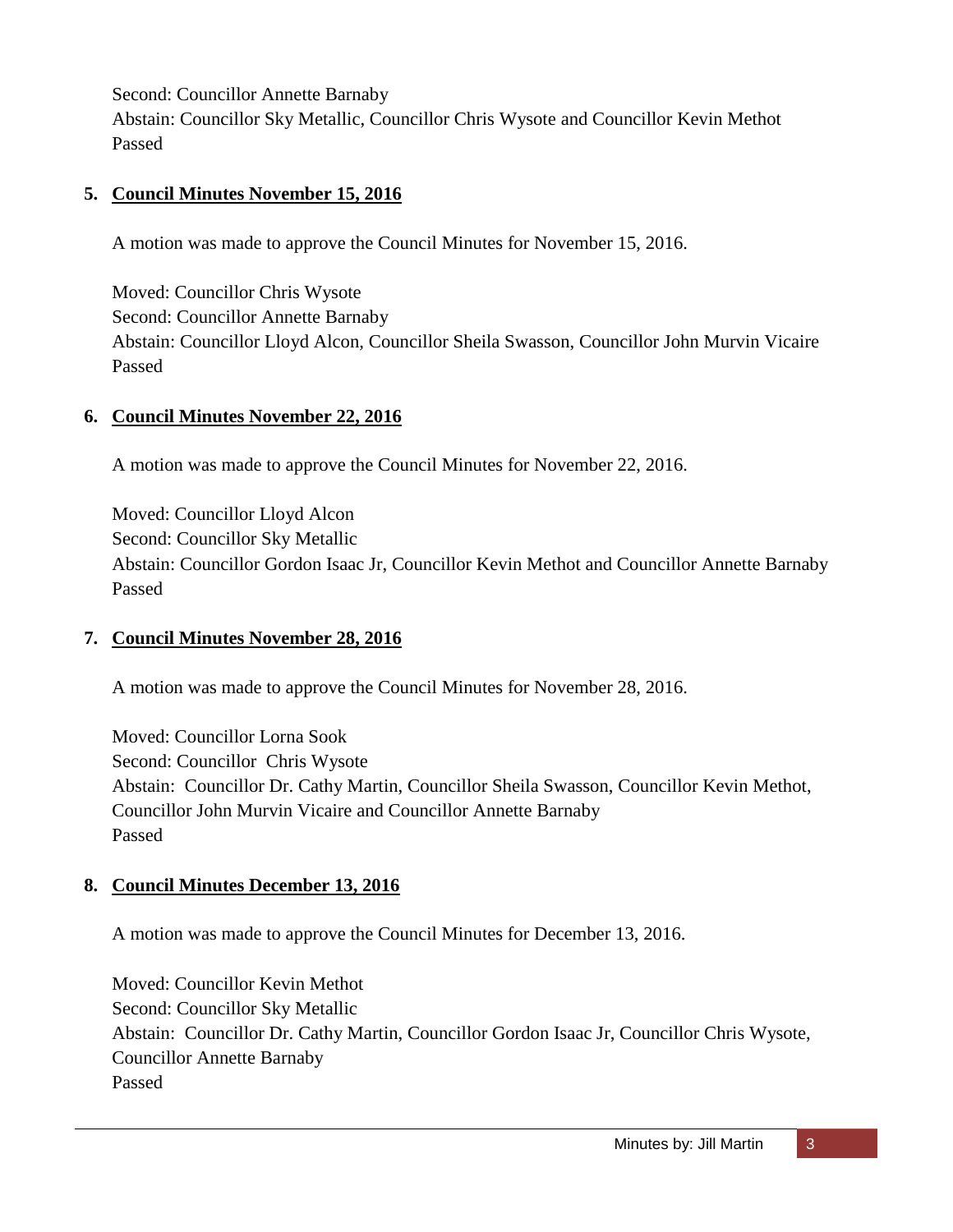Second: Councillor Annette Barnaby

Abstain: Councillor Sky Metallic, Councillor Chris Wysote and Councillor Kevin Methot Passed

# **5. Council Minutes November 15, 2016**

A motion was made to approve the Council Minutes for November 15, 2016.

Moved: Councillor Chris Wysote Second: Councillor Annette Barnaby Abstain: Councillor Lloyd Alcon, Councillor Sheila Swasson, Councillor John Murvin Vicaire Passed

# **6. Council Minutes November 22, 2016**

A motion was made to approve the Council Minutes for November 22, 2016.

Moved: Councillor Lloyd Alcon Second: Councillor Sky Metallic Abstain: Councillor Gordon Isaac Jr, Councillor Kevin Methot and Councillor Annette Barnaby Passed

# **7. Council Minutes November 28, 2016**

A motion was made to approve the Council Minutes for November 28, 2016.

Moved: Councillor Lorna Sook Second: Councillor Chris Wysote Abstain: Councillor Dr. Cathy Martin, Councillor Sheila Swasson, Councillor Kevin Methot, Councillor John Murvin Vicaire and Councillor Annette Barnaby Passed

# **8. Council Minutes December 13, 2016**

A motion was made to approve the Council Minutes for December 13, 2016.

Moved: Councillor Kevin Methot Second: Councillor Sky Metallic Abstain: Councillor Dr. Cathy Martin, Councillor Gordon Isaac Jr, Councillor Chris Wysote, Councillor Annette Barnaby Passed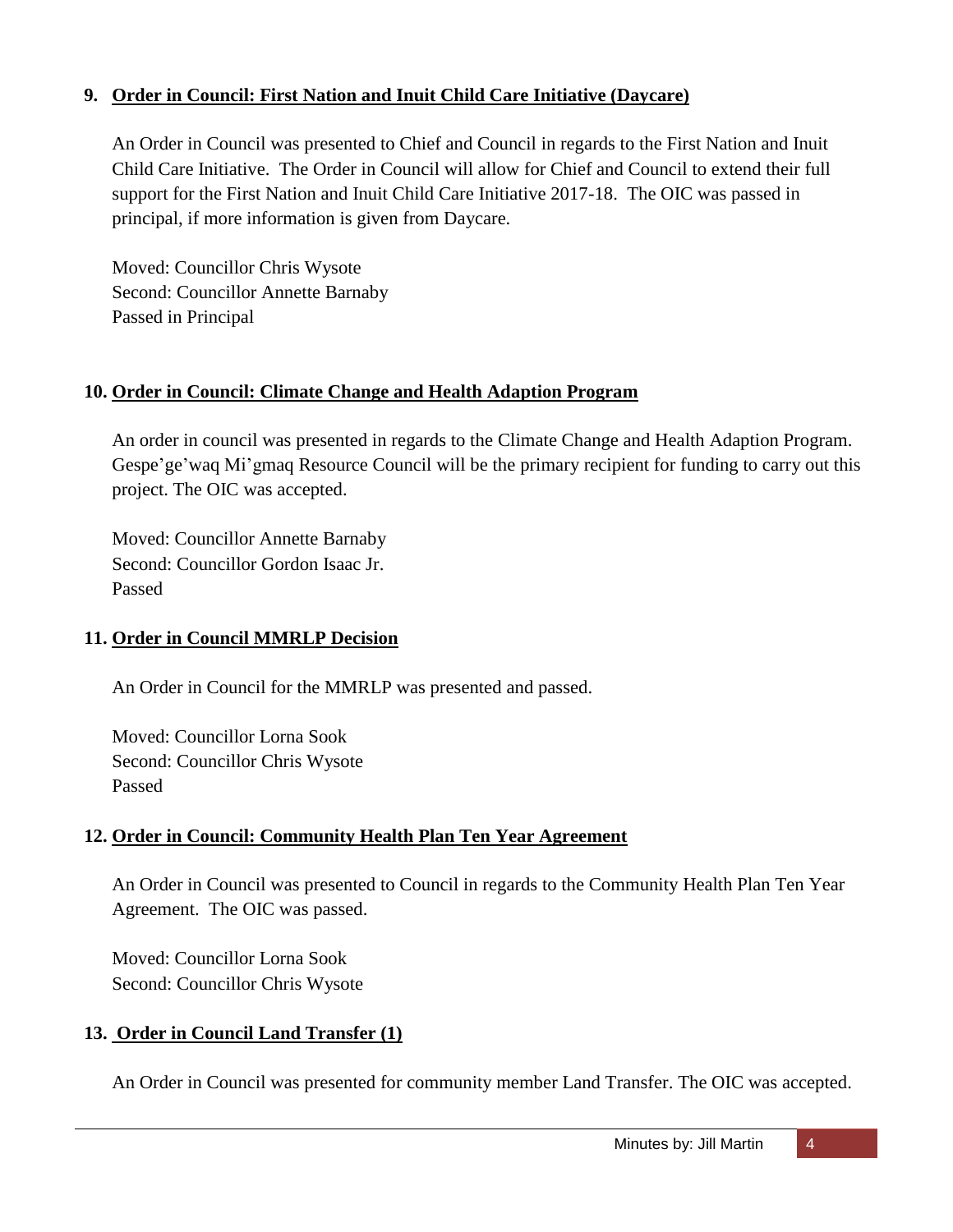# **9. Order in Council: First Nation and Inuit Child Care Initiative (Daycare)**

An Order in Council was presented to Chief and Council in regards to the First Nation and Inuit Child Care Initiative. The Order in Council will allow for Chief and Council to extend their full support for the First Nation and Inuit Child Care Initiative 2017-18. The OIC was passed in principal, if more information is given from Daycare.

Moved: Councillor Chris Wysote Second: Councillor Annette Barnaby Passed in Principal

# **10. Order in Council: Climate Change and Health Adaption Program**

An order in council was presented in regards to the Climate Change and Health Adaption Program. Gespe'ge'waq Mi'gmaq Resource Council will be the primary recipient for funding to carry out this project. The OIC was accepted.

Moved: Councillor Annette Barnaby Second: Councillor Gordon Isaac Jr. Passed

### **11. Order in Council MMRLP Decision**

An Order in Council for the MMRLP was presented and passed.

Moved: Councillor Lorna Sook Second: Councillor Chris Wysote Passed

# **12. Order in Council: Community Health Plan Ten Year Agreement**

An Order in Council was presented to Council in regards to the Community Health Plan Ten Year Agreement. The OIC was passed.

Moved: Councillor Lorna Sook Second: Councillor Chris Wysote

### **13. Order in Council Land Transfer (1)**

An Order in Council was presented for community member Land Transfer. The OIC was accepted.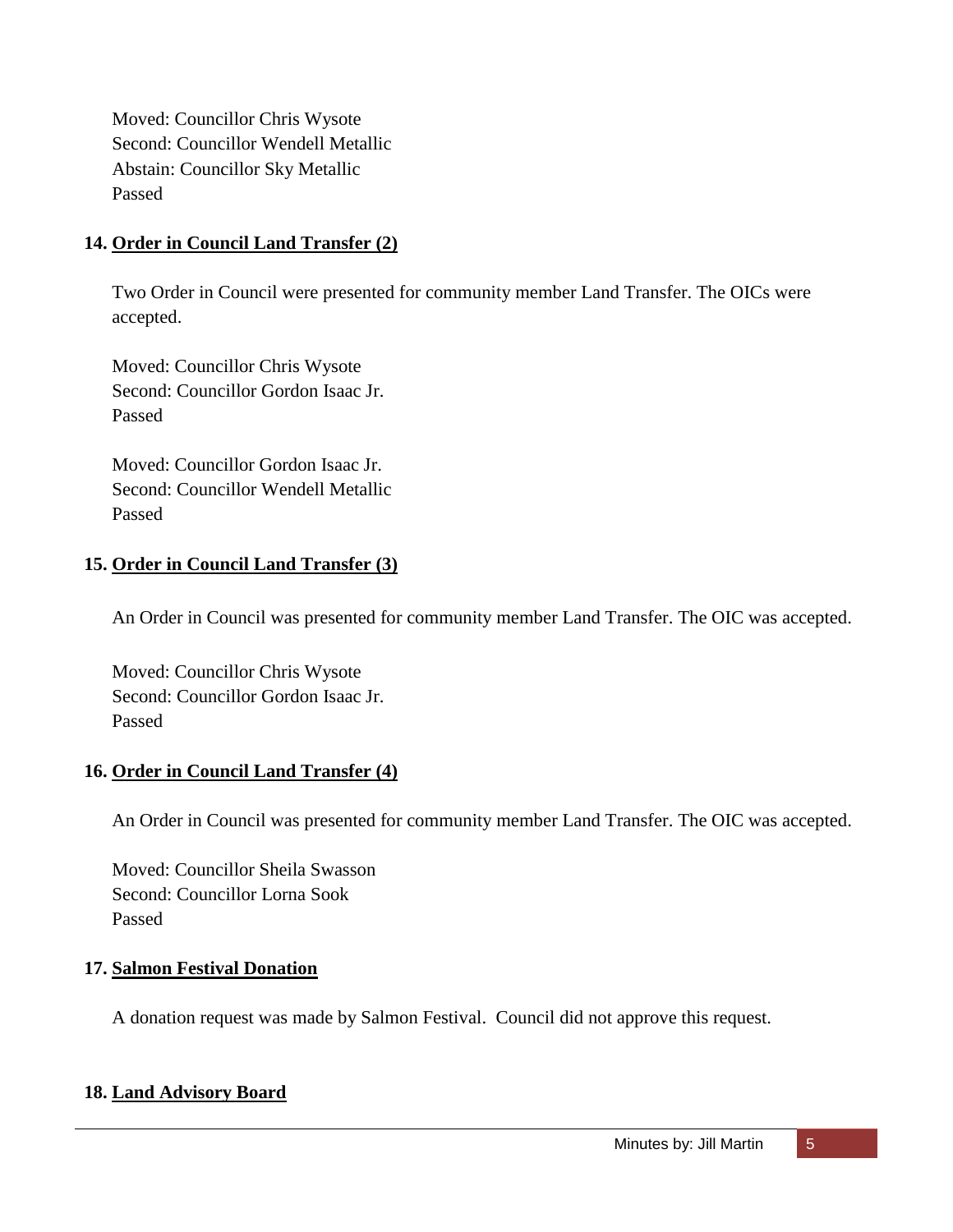Moved: Councillor Chris Wysote Second: Councillor Wendell Metallic Abstain: Councillor Sky Metallic Passed

### **14. Order in Council Land Transfer (2)**

Two Order in Council were presented for community member Land Transfer. The OICs were accepted.

Moved: Councillor Chris Wysote Second: Councillor Gordon Isaac Jr. Passed

Moved: Councillor Gordon Isaac Jr. Second: Councillor Wendell Metallic Passed

### **15. Order in Council Land Transfer (3)**

An Order in Council was presented for community member Land Transfer. The OIC was accepted.

Moved: Councillor Chris Wysote Second: Councillor Gordon Isaac Jr. Passed

### **16. Order in Council Land Transfer (4)**

An Order in Council was presented for community member Land Transfer. The OIC was accepted.

Moved: Councillor Sheila Swasson Second: Councillor Lorna Sook Passed

### **17. Salmon Festival Donation**

A donation request was made by Salmon Festival. Council did not approve this request.

### **18. Land Advisory Board**